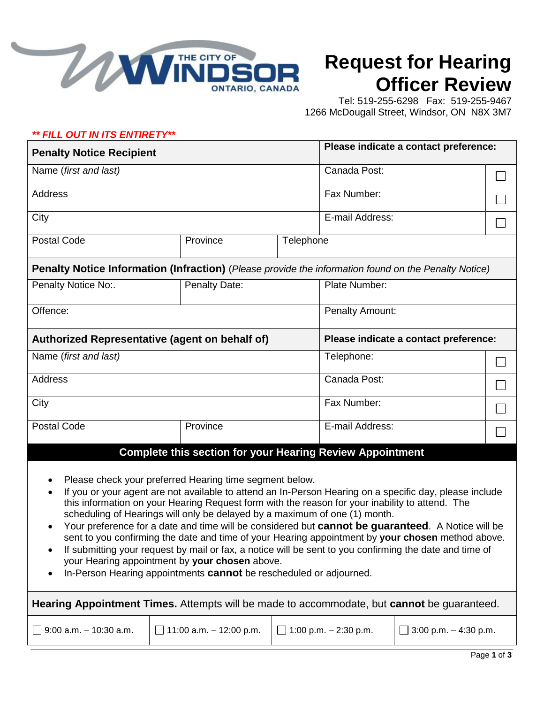

## **Request for Hearing Officer Review**

 Tel: 519-255-6298 Fax: 519-255-9467 1266 McDougall Street, Windsor, ON N8X 3M7

## *\*\* FILL OUT IN ITS ENTIRETY\*\**

| <b>Penalty Notice Recipient</b>                                                                                                                                                                                                                                                         |               |           | Please indicate a contact preference:                                                                                                                                                                                                                                                                                                                                                                                                                                                                                           |  |  |
|-----------------------------------------------------------------------------------------------------------------------------------------------------------------------------------------------------------------------------------------------------------------------------------------|---------------|-----------|---------------------------------------------------------------------------------------------------------------------------------------------------------------------------------------------------------------------------------------------------------------------------------------------------------------------------------------------------------------------------------------------------------------------------------------------------------------------------------------------------------------------------------|--|--|
| Name (first and last)                                                                                                                                                                                                                                                                   |               |           | Canada Post:                                                                                                                                                                                                                                                                                                                                                                                                                                                                                                                    |  |  |
| <b>Address</b>                                                                                                                                                                                                                                                                          |               |           | Fax Number:                                                                                                                                                                                                                                                                                                                                                                                                                                                                                                                     |  |  |
| City                                                                                                                                                                                                                                                                                    |               |           | E-mail Address:                                                                                                                                                                                                                                                                                                                                                                                                                                                                                                                 |  |  |
| <b>Postal Code</b>                                                                                                                                                                                                                                                                      | Province      | Telephone |                                                                                                                                                                                                                                                                                                                                                                                                                                                                                                                                 |  |  |
|                                                                                                                                                                                                                                                                                         |               |           | Penalty Notice Information (Infraction) (Please provide the information found on the Penalty Notice)                                                                                                                                                                                                                                                                                                                                                                                                                            |  |  |
| Penalty Notice No:.                                                                                                                                                                                                                                                                     | Penalty Date: |           | Plate Number:                                                                                                                                                                                                                                                                                                                                                                                                                                                                                                                   |  |  |
| Offence:                                                                                                                                                                                                                                                                                |               |           | <b>Penalty Amount:</b>                                                                                                                                                                                                                                                                                                                                                                                                                                                                                                          |  |  |
| Authorized Representative (agent on behalf of)                                                                                                                                                                                                                                          |               |           | Please indicate a contact preference:                                                                                                                                                                                                                                                                                                                                                                                                                                                                                           |  |  |
| Name (first and last)                                                                                                                                                                                                                                                                   |               |           | Telephone:                                                                                                                                                                                                                                                                                                                                                                                                                                                                                                                      |  |  |
| <b>Address</b>                                                                                                                                                                                                                                                                          |               |           | Canada Post:                                                                                                                                                                                                                                                                                                                                                                                                                                                                                                                    |  |  |
| City                                                                                                                                                                                                                                                                                    |               |           | Fax Number:                                                                                                                                                                                                                                                                                                                                                                                                                                                                                                                     |  |  |
| <b>Postal Code</b>                                                                                                                                                                                                                                                                      | Province      |           | E-mail Address:                                                                                                                                                                                                                                                                                                                                                                                                                                                                                                                 |  |  |
|                                                                                                                                                                                                                                                                                         |               |           | <b>Complete this section for your Hearing Review Appointment</b>                                                                                                                                                                                                                                                                                                                                                                                                                                                                |  |  |
| Please check your preferred Hearing time segment below.<br>$\bullet$<br>scheduling of Hearings will only be delayed by a maximum of one (1) month.<br>$\bullet$<br>your Hearing appointment by your chosen above.<br>In-Person Hearing appointments cannot be rescheduled or adjourned. |               |           | If you or your agent are not available to attend an In-Person Hearing on a specific day, please include<br>this information on your Hearing Request form with the reason for your inability to attend. The<br>Your preference for a date and time will be considered but cannot be guaranteed. A Notice will be<br>sent to you confirming the date and time of your Hearing appointment by your chosen method above.<br>If submitting your request by mail or fax, a notice will be sent to you confirming the date and time of |  |  |

| Hearing Appointment Times. Attempts will be made to accommodate, but cannot be guaranteed. |                                |                              |                              |  |  |  |  |
|--------------------------------------------------------------------------------------------|--------------------------------|------------------------------|------------------------------|--|--|--|--|
| $\Box$ 9:00 a.m. - 10:30 a.m.                                                              | $\Box$ 11:00 a.m. - 12:00 p.m. | $\Box$ 1:00 p.m. – 2:30 p.m. | $\Box$ 3:00 p.m. - 4:30 p.m. |  |  |  |  |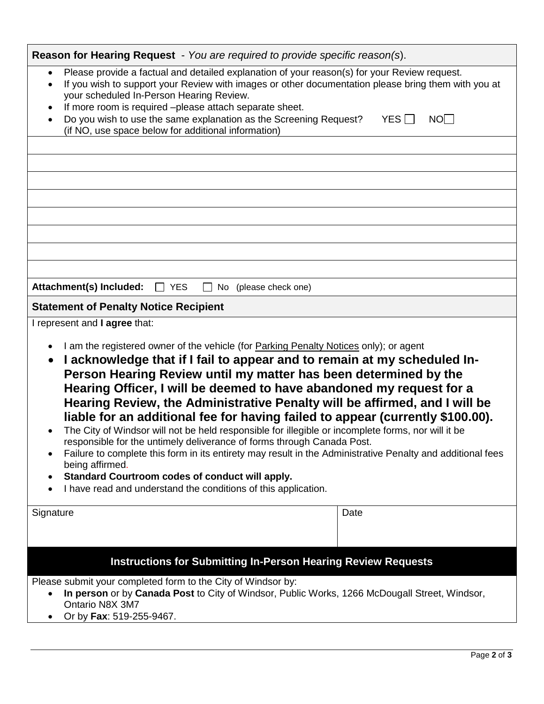| Reason for Hearing Request - You are required to provide specific reason(s).                                                                                                                                                                                                                                                                                                                                                                                                                                                                                                                                                                                                                                                                                                                                                                                                                                                                                                                             |      |  |  |  |
|----------------------------------------------------------------------------------------------------------------------------------------------------------------------------------------------------------------------------------------------------------------------------------------------------------------------------------------------------------------------------------------------------------------------------------------------------------------------------------------------------------------------------------------------------------------------------------------------------------------------------------------------------------------------------------------------------------------------------------------------------------------------------------------------------------------------------------------------------------------------------------------------------------------------------------------------------------------------------------------------------------|------|--|--|--|
| Please provide a factual and detailed explanation of your reason(s) for your Review request.<br>$\bullet$<br>If you wish to support your Review with images or other documentation please bring them with you at<br>$\bullet$<br>your scheduled In-Person Hearing Review.<br>If more room is required -please attach separate sheet.<br>Do you wish to use the same explanation as the Screening Request?<br>$YES \Box$<br>NO<br>$\bullet$<br>(if NO, use space below for additional information)                                                                                                                                                                                                                                                                                                                                                                                                                                                                                                        |      |  |  |  |
|                                                                                                                                                                                                                                                                                                                                                                                                                                                                                                                                                                                                                                                                                                                                                                                                                                                                                                                                                                                                          |      |  |  |  |
|                                                                                                                                                                                                                                                                                                                                                                                                                                                                                                                                                                                                                                                                                                                                                                                                                                                                                                                                                                                                          |      |  |  |  |
|                                                                                                                                                                                                                                                                                                                                                                                                                                                                                                                                                                                                                                                                                                                                                                                                                                                                                                                                                                                                          |      |  |  |  |
|                                                                                                                                                                                                                                                                                                                                                                                                                                                                                                                                                                                                                                                                                                                                                                                                                                                                                                                                                                                                          |      |  |  |  |
|                                                                                                                                                                                                                                                                                                                                                                                                                                                                                                                                                                                                                                                                                                                                                                                                                                                                                                                                                                                                          |      |  |  |  |
|                                                                                                                                                                                                                                                                                                                                                                                                                                                                                                                                                                                                                                                                                                                                                                                                                                                                                                                                                                                                          |      |  |  |  |
|                                                                                                                                                                                                                                                                                                                                                                                                                                                                                                                                                                                                                                                                                                                                                                                                                                                                                                                                                                                                          |      |  |  |  |
|                                                                                                                                                                                                                                                                                                                                                                                                                                                                                                                                                                                                                                                                                                                                                                                                                                                                                                                                                                                                          |      |  |  |  |
| Attachment(s) Included:<br>No (please check one)<br><b>YES</b><br>$\perp$                                                                                                                                                                                                                                                                                                                                                                                                                                                                                                                                                                                                                                                                                                                                                                                                                                                                                                                                |      |  |  |  |
| <b>Statement of Penalty Notice Recipient</b>                                                                                                                                                                                                                                                                                                                                                                                                                                                                                                                                                                                                                                                                                                                                                                                                                                                                                                                                                             |      |  |  |  |
| I represent and I agree that:<br>I am the registered owner of the vehicle (for Parking Penalty Notices only); or agent<br>$\bullet$<br>I acknowledge that if I fail to appear and to remain at my scheduled In-<br>$\bullet$<br>Person Hearing Review until my matter has been determined by the<br>Hearing Officer, I will be deemed to have abandoned my request for a<br>Hearing Review, the Administrative Penalty will be affirmed, and I will be<br>liable for an additional fee for having failed to appear (currently \$100.00).<br>The City of Windsor will not be held responsible for illegible or incomplete forms, nor will it be<br>responsible for the untimely deliverance of forms through Canada Post.<br>Failure to complete this form in its entirety may result in the Administrative Penalty and additional fees<br>being affirmed.<br>Standard Courtroom codes of conduct will apply.<br>$\bullet$<br>I have read and understand the conditions of this application.<br>$\bullet$ |      |  |  |  |
| Signature                                                                                                                                                                                                                                                                                                                                                                                                                                                                                                                                                                                                                                                                                                                                                                                                                                                                                                                                                                                                | Date |  |  |  |
| <b>Instructions for Submitting In-Person Hearing Review Requests</b>                                                                                                                                                                                                                                                                                                                                                                                                                                                                                                                                                                                                                                                                                                                                                                                                                                                                                                                                     |      |  |  |  |
| Please submit your completed form to the City of Windsor by:<br>In person or by Canada Post to City of Windsor, Public Works, 1266 McDougall Street, Windsor,<br>$\bullet$<br>Ontario N8X 3M7<br>Or by Fax: 519-255-9467.<br>$\bullet$                                                                                                                                                                                                                                                                                                                                                                                                                                                                                                                                                                                                                                                                                                                                                                   |      |  |  |  |